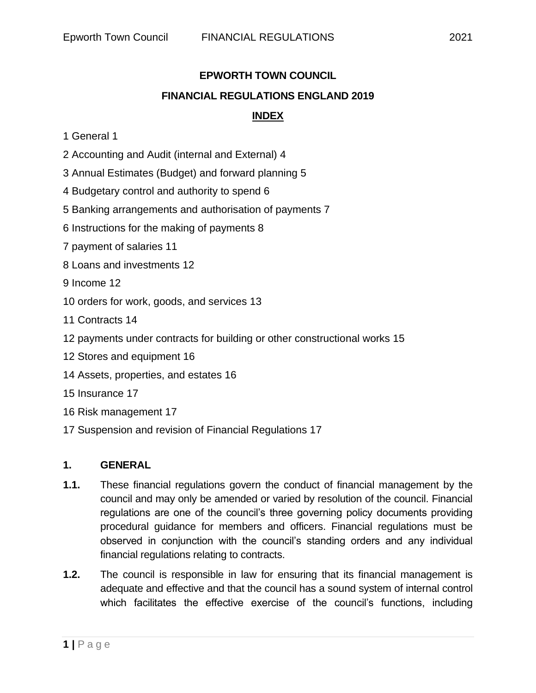# **EPWORTH TOWN COUNCIL FINANCIAL REGULATIONS ENGLAND 2019 INDEX**

- 1 General 1
- 2 Accounting and Audit (internal and External) 4
- 3 Annual Estimates (Budget) and forward planning 5
- 4 Budgetary control and authority to spend 6
- 5 Banking arrangements and authorisation of payments 7
- 6 Instructions for the making of payments 8
- 7 payment of salaries 11
- 8 Loans and investments 12
- 9 Income 12
- 10 orders for work, goods, and services 13
- 11 Contracts 14
- 12 payments under contracts for building or other constructional works 15
- 12 Stores and equipment 16
- 14 Assets, properties, and estates 16
- 15 Insurance 17
- 16 Risk management 17
- 17 Suspension and revision of Financial Regulations 17

#### **1. GENERAL**

- **1.1.** These financial regulations govern the conduct of financial management by the council and may only be amended or varied by resolution of the council. Financial regulations are one of the council's three governing policy documents providing procedural guidance for members and officers. Financial regulations must be observed in conjunction with the council's standing orders and any individual financial regulations relating to contracts.
- **1.2.** The council is responsible in law for ensuring that its financial management is adequate and effective and that the council has a sound system of internal control which facilitates the effective exercise of the council's functions, including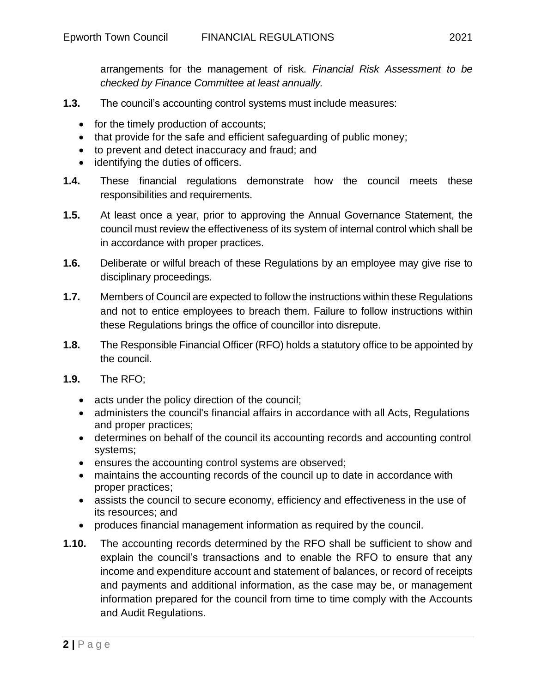arrangements for the management of risk. *Financial Risk Assessment to be checked by Finance Committee at least annually.*

- **1.3.** The council's accounting control systems must include measures:
	- for the timely production of accounts;
	- that provide for the safe and efficient safeguarding of public money;
	- to prevent and detect inaccuracy and fraud; and
	- identifying the duties of officers.
- **1.4.** These financial regulations demonstrate how the council meets these responsibilities and requirements.
- **1.5.** At least once a year, prior to approving the Annual Governance Statement, the council must review the effectiveness of its system of internal control which shall be in accordance with proper practices.
- **1.6.** Deliberate or wilful breach of these Regulations by an employee may give rise to disciplinary proceedings.
- **1.7.** Members of Council are expected to follow the instructions within these Regulations and not to entice employees to breach them. Failure to follow instructions within these Regulations brings the office of councillor into disrepute.
- **1.8.** The Responsible Financial Officer (RFO) holds a statutory office to be appointed by the council.
- **1.9.** The RFO;
	- acts under the policy direction of the council;
	- administers the council's financial affairs in accordance with all Acts, Regulations and proper practices;
	- determines on behalf of the council its accounting records and accounting control systems;
	- ensures the accounting control systems are observed;
	- maintains the accounting records of the council up to date in accordance with proper practices;
	- assists the council to secure economy, efficiency and effectiveness in the use of its resources; and
	- produces financial management information as required by the council.
- **1.10.** The accounting records determined by the RFO shall be sufficient to show and explain the council's transactions and to enable the RFO to ensure that any income and expenditure account and statement of balances, or record of receipts and payments and additional information, as the case may be, or management information prepared for the council from time to time comply with the Accounts and Audit Regulations.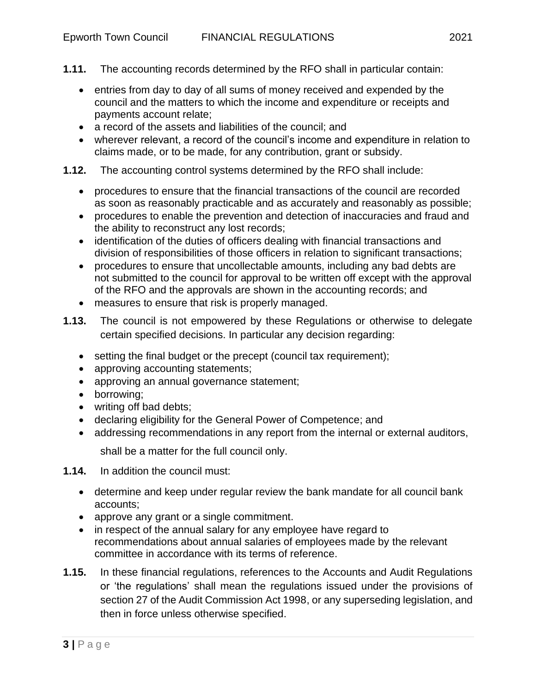- **1.11.** The accounting records determined by the RFO shall in particular contain:
	- entries from day to day of all sums of money received and expended by the council and the matters to which the income and expenditure or receipts and payments account relate;
	- a record of the assets and liabilities of the council: and
	- wherever relevant, a record of the council's income and expenditure in relation to claims made, or to be made, for any contribution, grant or subsidy.
- **1.12.** The accounting control systems determined by the RFO shall include:
	- procedures to ensure that the financial transactions of the council are recorded as soon as reasonably practicable and as accurately and reasonably as possible;
	- procedures to enable the prevention and detection of inaccuracies and fraud and the ability to reconstruct any lost records;
	- identification of the duties of officers dealing with financial transactions and division of responsibilities of those officers in relation to significant transactions;
	- procedures to ensure that uncollectable amounts, including any bad debts are not submitted to the council for approval to be written off except with the approval of the RFO and the approvals are shown in the accounting records; and
	- measures to ensure that risk is properly managed.
- **1.13.** The council is not empowered by these Regulations or otherwise to delegate certain specified decisions. In particular any decision regarding:
	- setting the final budget or the precept (council tax requirement);
	- approving accounting statements;
	- approving an annual governance statement;
	- borrowing;
	- writing off bad debts;
	- declaring eligibility for the General Power of Competence; and
	- addressing recommendations in any report from the internal or external auditors,

shall be a matter for the full council only.

- **1.14.** In addition the council must:
	- determine and keep under regular review the bank mandate for all council bank accounts;
	- approve any grant or a single commitment.
	- in respect of the annual salary for any employee have regard to recommendations about annual salaries of employees made by the relevant committee in accordance with its terms of reference.
- **1.15.** In these financial regulations, references to the Accounts and Audit Regulations or 'the regulations' shall mean the regulations issued under the provisions of section 27 of the Audit Commission Act 1998, or any superseding legislation, and then in force unless otherwise specified.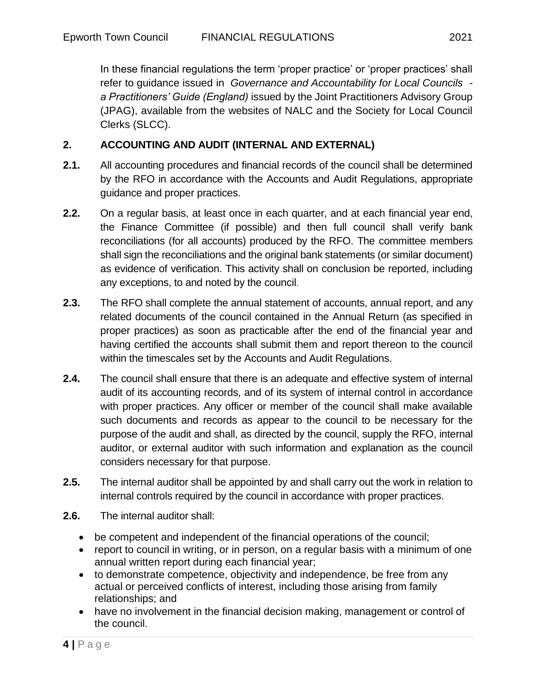In these financial regulations the term 'proper practice' or 'proper practices' shall refer to guidance issued in *Governance and Accountability for Local Councils a Practitioners' Guide (England)* issued by the Joint Practitioners Advisory Group (JPAG), available from the websites of NALC and the Society for Local Council Clerks (SLCC).

# **2. ACCOUNTING AND AUDIT (INTERNAL AND EXTERNAL)**

- **2.1.** All accounting procedures and financial records of the council shall be determined by the RFO in accordance with the Accounts and Audit Regulations, appropriate guidance and proper practices.
- **2.2.** On a regular basis, at least once in each quarter, and at each financial year end, the Finance Committee (if possible) and then full council shall verify bank reconciliations (for all accounts) produced by the RFO. The committee members shall sign the reconciliations and the original bank statements (or similar document) as evidence of verification. This activity shall on conclusion be reported, including any exceptions, to and noted by the council.
- **2.3.** The RFO shall complete the annual statement of accounts, annual report, and any related documents of the council contained in the Annual Return (as specified in proper practices) as soon as practicable after the end of the financial year and having certified the accounts shall submit them and report thereon to the council within the timescales set by the Accounts and Audit Regulations.
- **2.4.** The council shall ensure that there is an adequate and effective system of internal audit of its accounting records, and of its system of internal control in accordance with proper practices. Any officer or member of the council shall make available such documents and records as appear to the council to be necessary for the purpose of the audit and shall, as directed by the council, supply the RFO, internal auditor, or external auditor with such information and explanation as the council considers necessary for that purpose.
- **2.5.** The internal auditor shall be appointed by and shall carry out the work in relation to internal controls required by the council in accordance with proper practices.
- **2.6.** The internal auditor shall:
	- be competent and independent of the financial operations of the council;
	- report to council in writing, or in person, on a regular basis with a minimum of one annual written report during each financial year;
	- to demonstrate competence, objectivity and independence, be free from any actual or perceived conflicts of interest, including those arising from family relationships; and
	- have no involvement in the financial decision making, management or control of the council.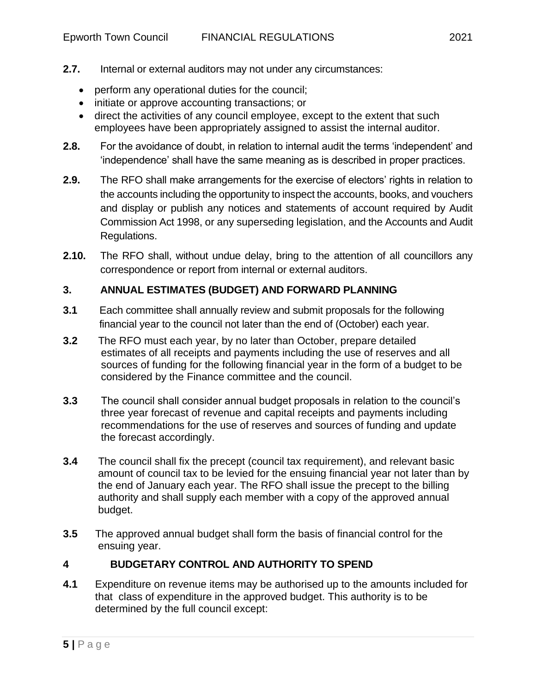- **2.7.** Internal or external auditors may not under any circumstances:
	- perform any operational duties for the council;
	- initiate or approve accounting transactions; or
	- direct the activities of any council employee, except to the extent that such employees have been appropriately assigned to assist the internal auditor.
- **2.8.** For the avoidance of doubt, in relation to internal audit the terms 'independent' and 'independence' shall have the same meaning as is described in proper practices.
- **2.9.** The RFO shall make arrangements for the exercise of electors' rights in relation to the accounts including the opportunity to inspect the accounts, books, and vouchers and display or publish any notices and statements of account required by Audit Commission Act 1998, or any superseding legislation, and the Accounts and Audit Regulations.
- **2.10.** The RFO shall, without undue delay, bring to the attention of all councillors any correspondence or report from internal or external auditors.

# **3. ANNUAL ESTIMATES (BUDGET) AND FORWARD PLANNING**

- **3.1** Each committee shall annually review and submit proposals for the following financial year to the council not later than the end of (October) each year.
- **3.2** The RFO must each year, by no later than October, prepare detailed estimates of all receipts and payments including the use of reserves and all sources of funding for the following financial year in the form of a budget to be considered by the Finance committee and the council.
- **3.3** The council shall consider annual budget proposals in relation to the council's three year forecast of revenue and capital receipts and payments including recommendations for the use of reserves and sources of funding and update the forecast accordingly.
- **3.4** The council shall fix the precept (council tax requirement), and relevant basic amount of council tax to be levied for the ensuing financial year not later than by the end of January each year. The RFO shall issue the precept to the billing authority and shall supply each member with a copy of the approved annual budget.
- **3.5** The approved annual budget shall form the basis of financial control for the ensuing year.

# **4 BUDGETARY CONTROL AND AUTHORITY TO SPEND**

**4.1** Expenditure on revenue items may be authorised up to the amounts included for that class of expenditure in the approved budget. This authority is to be determined by the full council except: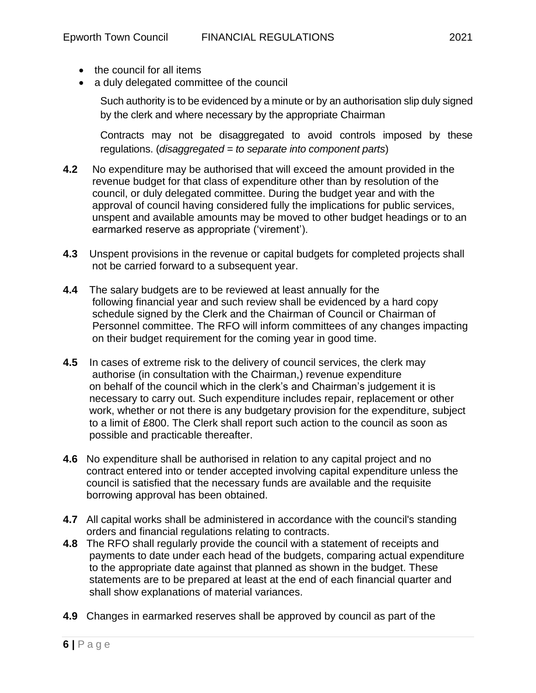- the council for all items
- a duly delegated committee of the council

Such authority is to be evidenced by a minute or by an authorisation slip duly signed by the clerk and where necessary by the appropriate Chairman

Contracts may not be disaggregated to avoid controls imposed by these regulations. (*disaggregated = to separate into component parts*)

- **4.2** No expenditure may be authorised that will exceed the amount provided in the revenue budget for that class of expenditure other than by resolution of the council, or duly delegated committee. During the budget year and with the approval of council having considered fully the implications for public services, unspent and available amounts may be moved to other budget headings or to an earmarked reserve as appropriate ('virement').
- **4.3** Unspent provisions in the revenue or capital budgets for completed projects shall not be carried forward to a subsequent year.
- **4.4** The salary budgets are to be reviewed at least annually for the following financial year and such review shall be evidenced by a hard copy schedule signed by the Clerk and the Chairman of Council or Chairman of Personnel committee. The RFO will inform committees of any changes impacting on their budget requirement for the coming year in good time.
- **4.5** In cases of extreme risk to the delivery of council services, the clerk may authorise (in consultation with the Chairman,) revenue expenditure on behalf of the council which in the clerk's and Chairman's judgement it is necessary to carry out. Such expenditure includes repair, replacement or other work, whether or not there is any budgetary provision for the expenditure, subject to a limit of £800. The Clerk shall report such action to the council as soon as possible and practicable thereafter.
- **4.6** No expenditure shall be authorised in relation to any capital project and no contract entered into or tender accepted involving capital expenditure unless the council is satisfied that the necessary funds are available and the requisite borrowing approval has been obtained.
- **4.7** All capital works shall be administered in accordance with the council's standing orders and financial regulations relating to contracts.
- **4.8** The RFO shall regularly provide the council with a statement of receipts and payments to date under each head of the budgets, comparing actual expenditure to the appropriate date against that planned as shown in the budget. These statements are to be prepared at least at the end of each financial quarter and shall show explanations of material variances.
- **4.9** Changes in earmarked reserves shall be approved by council as part of the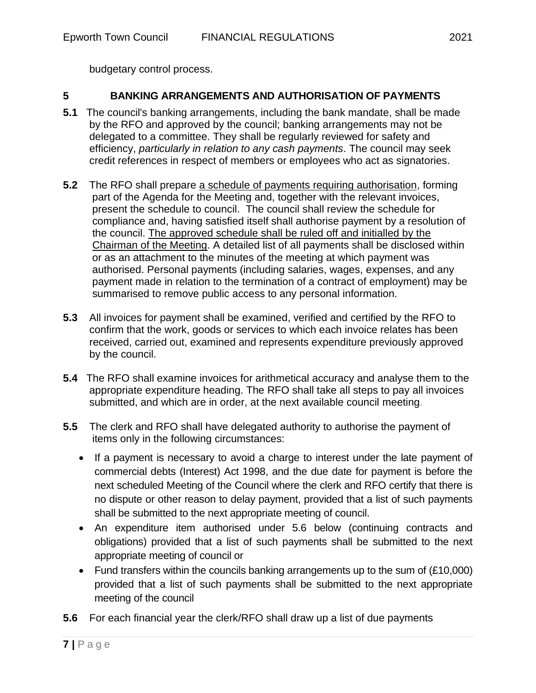budgetary control process.

# **5 BANKING ARRANGEMENTS AND AUTHORISATION OF PAYMENTS**

- **5.1** The council's banking arrangements, including the bank mandate, shall be made by the RFO and approved by the council; banking arrangements may not be delegated to a committee. They shall be regularly reviewed for safety and efficiency, *particularly in relation to any cash payments*. The council may seek credit references in respect of members or employees who act as signatories.
- **5.2** The RFO shall prepare a schedule of payments requiring authorisation, forming part of the Agenda for the Meeting and, together with the relevant invoices, present the schedule to council. The council shall review the schedule for compliance and, having satisfied itself shall authorise payment by a resolution of the council. The approved schedule shall be ruled off and initialled by the Chairman of the Meeting. A detailed list of all payments shall be disclosed within or as an attachment to the minutes of the meeting at which payment was authorised. Personal payments (including salaries, wages, expenses, and any payment made in relation to the termination of a contract of employment) may be summarised to remove public access to any personal information.
- **5.3** All invoices for payment shall be examined, verified and certified by the RFO to confirm that the work, goods or services to which each invoice relates has been received, carried out, examined and represents expenditure previously approved by the council.
- **5.4** The RFO shall examine invoices for arithmetical accuracy and analyse them to the appropriate expenditure heading. The RFO shall take all steps to pay all invoices submitted, and which are in order, at the next available council meeting.
- **5.5** The clerk and RFO shall have delegated authority to authorise the payment of items only in the following circumstances:
	- If a payment is necessary to avoid a charge to interest under the late payment of commercial debts (Interest) Act 1998, and the due date for payment is before the next scheduled Meeting of the Council where the clerk and RFO certify that there is no dispute or other reason to delay payment, provided that a list of such payments shall be submitted to the next appropriate meeting of council.
	- An expenditure item authorised under 5.6 below (continuing contracts and obligations) provided that a list of such payments shall be submitted to the next appropriate meeting of council or
	- Fund transfers within the councils banking arrangements up to the sum of (£10,000) provided that a list of such payments shall be submitted to the next appropriate meeting of the council
- **5.6** For each financial year the clerk/RFO shall draw up a list of due payments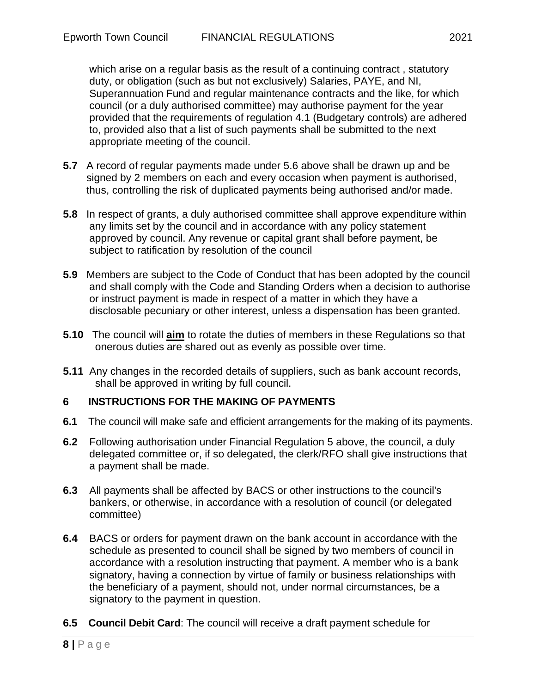which arise on a regular basis as the result of a continuing contract , statutory duty, or obligation (such as but not exclusively) Salaries, PAYE, and NI, Superannuation Fund and regular maintenance contracts and the like, for which council (or a duly authorised committee) may authorise payment for the year provided that the requirements of regulation 4.1 (Budgetary controls) are adhered to, provided also that a list of such payments shall be submitted to the next appropriate meeting of the council.

- **5.7** A record of regular payments made under 5.6 above shall be drawn up and be signed by 2 members on each and every occasion when payment is authorised, thus, controlling the risk of duplicated payments being authorised and/or made.
- **5.8** In respect of grants, a duly authorised committee shall approve expenditure within any limits set by the council and in accordance with any policy statement approved by council. Any revenue or capital grant shall before payment, be subject to ratification by resolution of the council
- **5.9** Members are subject to the Code of Conduct that has been adopted by the council and shall comply with the Code and Standing Orders when a decision to authorise or instruct payment is made in respect of a matter in which they have a disclosable pecuniary or other interest, unless a dispensation has been granted.
- **5.10** The council will **aim** to rotate the duties of members in these Regulations so that onerous duties are shared out as evenly as possible over time.
- **5.11** Any changes in the recorded details of suppliers, such as bank account records, shall be approved in writing by full council.

## **6 INSTRUCTIONS FOR THE MAKING OF PAYMENTS**

- **6.1** The council will make safe and efficient arrangements for the making of its payments.
- **6.2** Following authorisation under Financial Regulation 5 above, the council, a duly delegated committee or, if so delegated, the clerk/RFO shall give instructions that a payment shall be made.
- **6.3** All payments shall be affected by BACS or other instructions to the council's bankers, or otherwise, in accordance with a resolution of council (or delegated committee)
- **6.4** BACS or orders for payment drawn on the bank account in accordance with the schedule as presented to council shall be signed by two members of council in accordance with a resolution instructing that payment. A member who is a bank signatory, having a connection by virtue of family or business relationships with the beneficiary of a payment, should not, under normal circumstances, be a signatory to the payment in question.
- **6.5 Council Debit Card**: The council will receive a draft payment schedule for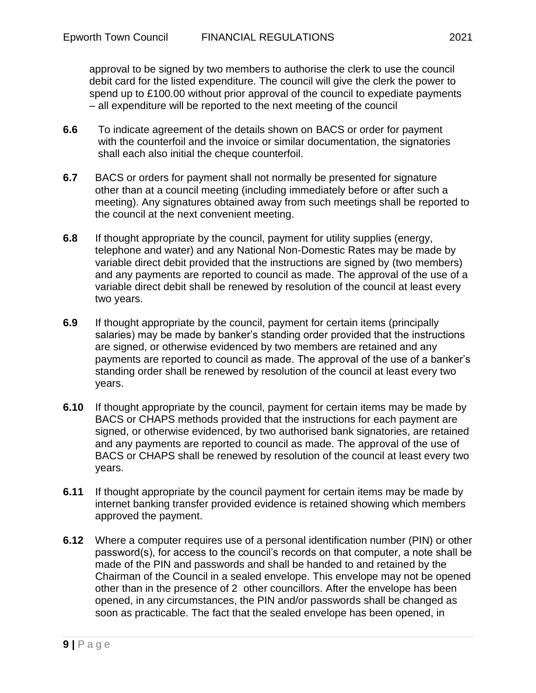approval to be signed by two members to authorise the clerk to use the council debit card for the listed expenditure. The council will give the clerk the power to spend up to £100.00 without prior approval of the council to expediate payments – all expenditure will be reported to the next meeting of the council

- **6.6** To indicate agreement of the details shown on BACS or order for payment with the counterfoil and the invoice or similar documentation, the signatories shall each also initial the cheque counterfoil.
- **6.7** BACS or orders for payment shall not normally be presented for signature other than at a council meeting (including immediately before or after such a meeting). Any signatures obtained away from such meetings shall be reported to the council at the next convenient meeting.
- **6.8** If thought appropriate by the council, payment for utility supplies (energy, telephone and water) and any National Non-Domestic Rates may be made by variable direct debit provided that the instructions are signed by (two members) and any payments are reported to council as made. The approval of the use of a variable direct debit shall be renewed by resolution of the council at least every two years.
- **6.9** If thought appropriate by the council, payment for certain items (principally salaries) may be made by banker's standing order provided that the instructions are signed, or otherwise evidenced by two members are retained and any payments are reported to council as made. The approval of the use of a banker's standing order shall be renewed by resolution of the council at least every two years.
- **6.10** If thought appropriate by the council, payment for certain items may be made by BACS or CHAPS methods provided that the instructions for each payment are signed, or otherwise evidenced, by two authorised bank signatories, are retained and any payments are reported to council as made. The approval of the use of BACS or CHAPS shall be renewed by resolution of the council at least every two years.
- **6.11** If thought appropriate by the council payment for certain items may be made by internet banking transfer provided evidence is retained showing which members approved the payment.
- **6.12** Where a computer requires use of a personal identification number (PIN) or other password(s), for access to the council's records on that computer, a note shall be made of the PIN and passwords and shall be handed to and retained by the Chairman of the Council in a sealed envelope. This envelope may not be opened other than in the presence of 2 other councillors. After the envelope has been opened, in any circumstances, the PIN and/or passwords shall be changed as soon as practicable. The fact that the sealed envelope has been opened, in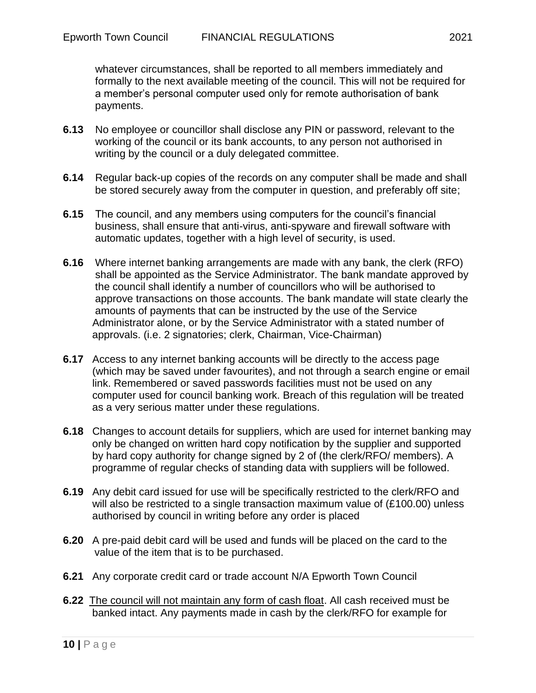whatever circumstances, shall be reported to all members immediately and formally to the next available meeting of the council. This will not be required for a member's personal computer used only for remote authorisation of bank payments.

- **6.13** No employee or councillor shall disclose any PIN or password, relevant to the working of the council or its bank accounts, to any person not authorised in writing by the council or a duly delegated committee.
- **6.14** Regular back-up copies of the records on any computer shall be made and shall be stored securely away from the computer in question, and preferably off site;
- **6.15** The council, and any members using computers for the council's financial business, shall ensure that anti-virus, anti-spyware and firewall software with automatic updates, together with a high level of security, is used.
- **6.16** Where internet banking arrangements are made with any bank, the clerk (RFO) shall be appointed as the Service Administrator. The bank mandate approved by the council shall identify a number of councillors who will be authorised to approve transactions on those accounts. The bank mandate will state clearly the amounts of payments that can be instructed by the use of the Service Administrator alone, or by the Service Administrator with a stated number of approvals. (i.e. 2 signatories; clerk, Chairman, Vice-Chairman)
- **6.17** Access to any internet banking accounts will be directly to the access page (which may be saved under favourites), and not through a search engine or email link. Remembered or saved passwords facilities must not be used on any computer used for council banking work. Breach of this regulation will be treated as a very serious matter under these regulations.
- **6.18** Changes to account details for suppliers, which are used for internet banking may only be changed on written hard copy notification by the supplier and supported by hard copy authority for change signed by 2 of (the clerk/RFO/ members). A programme of regular checks of standing data with suppliers will be followed.
- **6.19** Any debit card issued for use will be specifically restricted to the clerk/RFO and will also be restricted to a single transaction maximum value of (£100.00) unless authorised by council in writing before any order is placed
- **6.20** A pre-paid debit card will be used and funds will be placed on the card to the value of the item that is to be purchased.
- **6.21** Any corporate credit card or trade account N/A Epworth Town Council
- **6.22** The council will not maintain any form of cash float. All cash received must be banked intact. Any payments made in cash by the clerk/RFO for example for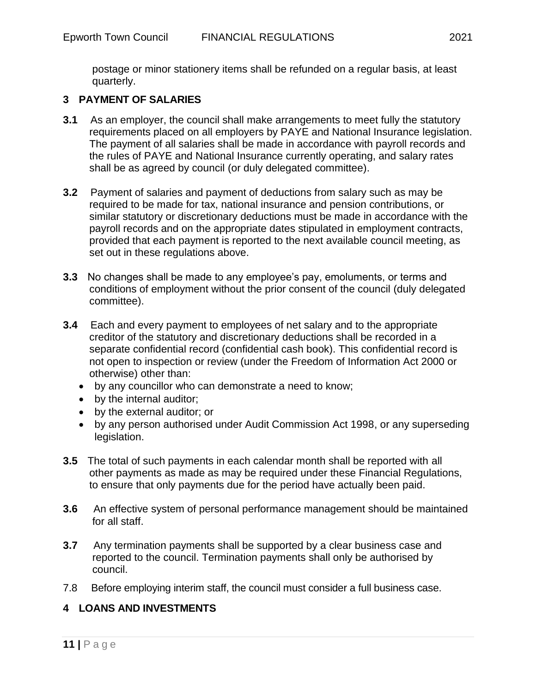postage or minor stationery items shall be refunded on a regular basis, at least quarterly.

# **3 PAYMENT OF SALARIES**

- **3.1** As an employer, the council shall make arrangements to meet fully the statutory requirements placed on all employers by PAYE and National Insurance legislation. The payment of all salaries shall be made in accordance with payroll records and the rules of PAYE and National Insurance currently operating, and salary rates shall be as agreed by council (or duly delegated committee).
- **3.2** Payment of salaries and payment of deductions from salary such as may be required to be made for tax, national insurance and pension contributions, or similar statutory or discretionary deductions must be made in accordance with the payroll records and on the appropriate dates stipulated in employment contracts, provided that each payment is reported to the next available council meeting, as set out in these regulations above.
- **3.3** No changes shall be made to any employee's pay, emoluments, or terms and conditions of employment without the prior consent of the council (duly delegated committee).
- **3.4** Each and every payment to employees of net salary and to the appropriate creditor of the statutory and discretionary deductions shall be recorded in a separate confidential record (confidential cash book). This confidential record is not open to inspection or review (under the Freedom of Information Act 2000 or otherwise) other than:
	- by any councillor who can demonstrate a need to know;
	- by the internal auditor;
	- by the external auditor; or
	- by any person authorised under Audit Commission Act 1998, or any superseding legislation.
- **3.5** The total of such payments in each calendar month shall be reported with all other payments as made as may be required under these Financial Regulations, to ensure that only payments due for the period have actually been paid.
- **3.6** An effective system of personal performance management should be maintained for all staff.
- **3.7** Any termination payments shall be supported by a clear business case and reported to the council. Termination payments shall only be authorised by council.
- 7.8 Before employing interim staff, the council must consider a full business case.

## **4 LOANS AND INVESTMENTS**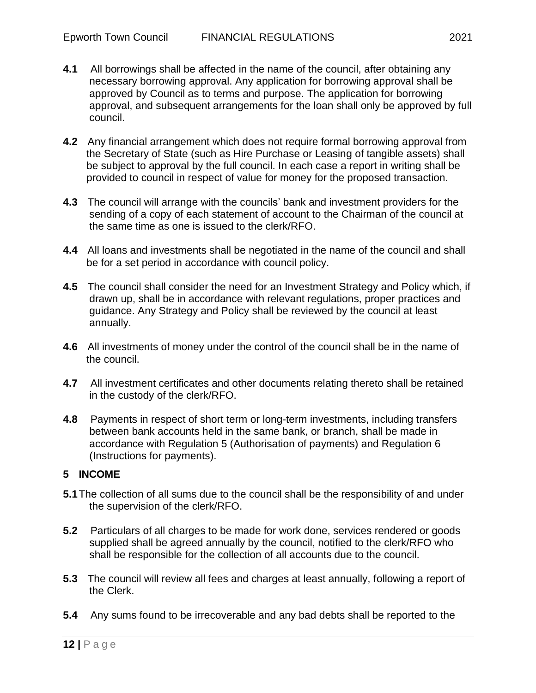- **4.1** All borrowings shall be affected in the name of the council, after obtaining any necessary borrowing approval. Any application for borrowing approval shall be approved by Council as to terms and purpose. The application for borrowing approval, and subsequent arrangements for the loan shall only be approved by full council.
- **4.2** Any financial arrangement which does not require formal borrowing approval from the Secretary of State (such as Hire Purchase or Leasing of tangible assets) shall be subject to approval by the full council. In each case a report in writing shall be provided to council in respect of value for money for the proposed transaction.
- **4.3** The council will arrange with the councils' bank and investment providers for the sending of a copy of each statement of account to the Chairman of the council at the same time as one is issued to the clerk/RFO.
- **4.4** All loans and investments shall be negotiated in the name of the council and shall be for a set period in accordance with council policy.
- **4.5** The council shall consider the need for an Investment Strategy and Policy which, if drawn up, shall be in accordance with relevant regulations, proper practices and guidance. Any Strategy and Policy shall be reviewed by the council at least annually.
- **4.6** All investments of money under the control of the council shall be in the name of the council.
- **4.7** All investment certificates and other documents relating thereto shall be retained in the custody of the clerk/RFO.
- **4.8** Payments in respect of short term or long-term investments, including transfers between bank accounts held in the same bank, or branch, shall be made in accordance with Regulation 5 (Authorisation of payments) and Regulation 6 (Instructions for payments).

## **5 INCOME**

- **5.1**The collection of all sums due to the council shall be the responsibility of and under the supervision of the clerk/RFO.
- **5.2** Particulars of all charges to be made for work done, services rendered or goods supplied shall be agreed annually by the council, notified to the clerk/RFO who shall be responsible for the collection of all accounts due to the council.
- **5.3** The council will review all fees and charges at least annually, following a report of the Clerk.
- **5.4** Any sums found to be irrecoverable and any bad debts shall be reported to the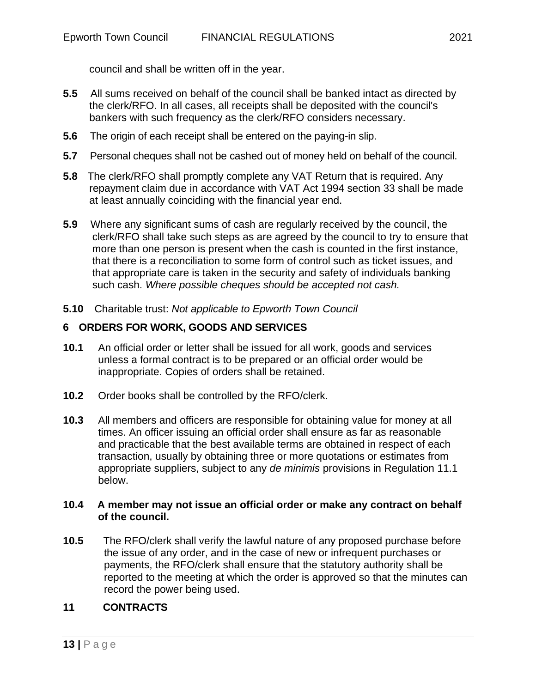council and shall be written off in the year.

- **5.5** All sums received on behalf of the council shall be banked intact as directed by the clerk/RFO. In all cases, all receipts shall be deposited with the council's bankers with such frequency as the clerk/RFO considers necessary.
- **5.6** The origin of each receipt shall be entered on the paying-in slip.
- **5.7** Personal cheques shall not be cashed out of money held on behalf of the council.
- **5.8** The clerk/RFO shall promptly complete any VAT Return that is required. Any repayment claim due in accordance with VAT Act 1994 section 33 shall be made at least annually coinciding with the financial year end.
- **5.9** Where any significant sums of cash are regularly received by the council, the clerk/RFO shall take such steps as are agreed by the council to try to ensure that more than one person is present when the cash is counted in the first instance, that there is a reconciliation to some form of control such as ticket issues, and that appropriate care is taken in the security and safety of individuals banking such cash. *Where possible cheques should be accepted not cash.*
- **5.10** Charitable trust: *Not applicable to Epworth Town Council*

## **6 ORDERS FOR WORK, GOODS AND SERVICES**

- **10.1** An official order or letter shall be issued for all work, goods and services unless a formal contract is to be prepared or an official order would be inappropriate. Copies of orders shall be retained.
- **10.2** Order books shall be controlled by the RFO/clerk.
- **10.3** All members and officers are responsible for obtaining value for money at all times. An officer issuing an official order shall ensure as far as reasonable and practicable that the best available terms are obtained in respect of each transaction, usually by obtaining three or more quotations or estimates from appropriate suppliers, subject to any *de minimis* provisions in Regulation 11.1 below.

#### **10.4 A member may not issue an official order or make any contract on behalf of the council.**

**10.5** The RFO/clerk shall verify the lawful nature of any proposed purchase before the issue of any order, and in the case of new or infrequent purchases or payments, the RFO/clerk shall ensure that the statutory authority shall be reported to the meeting at which the order is approved so that the minutes can record the power being used.

## **11 CONTRACTS**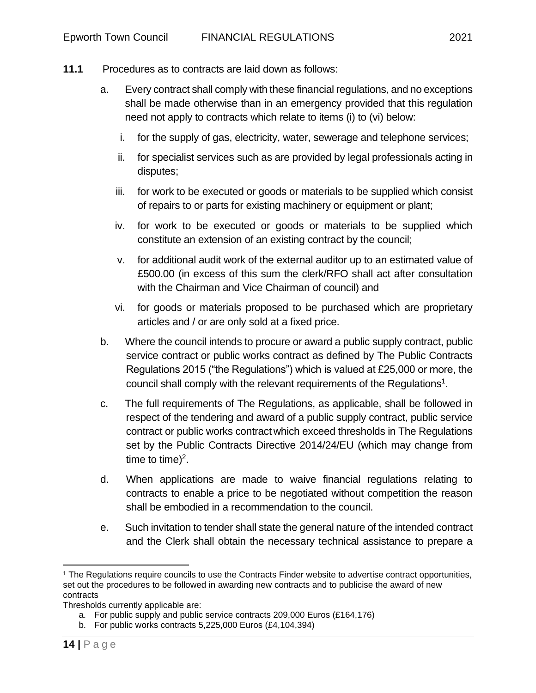- **11.1** Procedures as to contracts are laid down as follows:
	- a. Every contract shall comply with these financial regulations, and no exceptions shall be made otherwise than in an emergency provided that this regulation need not apply to contracts which relate to items (i) to (vi) below:
		- i. for the supply of gas, electricity, water, sewerage and telephone services;
		- ii. for specialist services such as are provided by legal professionals acting in disputes;
		- iii. for work to be executed or goods or materials to be supplied which consist of repairs to or parts for existing machinery or equipment or plant;
		- iv. for work to be executed or goods or materials to be supplied which constitute an extension of an existing contract by the council;
		- v. for additional audit work of the external auditor up to an estimated value of £500.00 (in excess of this sum the clerk/RFO shall act after consultation with the Chairman and Vice Chairman of council) and
		- vi. for goods or materials proposed to be purchased which are proprietary articles and / or are only sold at a fixed price.
	- b. Where the council intends to procure or award a public supply contract, public service contract or public works contract as defined by The Public Contracts Regulations 2015 ("the Regulations") which is valued at £25,000 or more, the council shall comply with the relevant requirements of the Regulations<sup>1</sup>.
	- c. The full requirements of The Regulations, as applicable, shall be followed in respect of the tendering and award of a public supply contract, public service contract or public works contract which exceed thresholds in The Regulations set by the Public Contracts Directive 2014/24/EU (which may change from time to time)<sup>2</sup>.
	- d. When applications are made to waive financial regulations relating to contracts to enable a price to be negotiated without competition the reason shall be embodied in a recommendation to the council.
	- e. Such invitation to tender shall state the general nature of the intended contract and the Clerk shall obtain the necessary technical assistance to prepare a

<sup>1</sup> The Regulations require councils to use the Contracts Finder website to advertise contract opportunities, set out the procedures to be followed in awarding new contracts and to publicise the award of new contracts

Thresholds currently applicable are:

a. For public supply and public service contracts 209,000 Euros (£164,176)

b. For public works contracts 5,225,000 Euros (£4,104,394)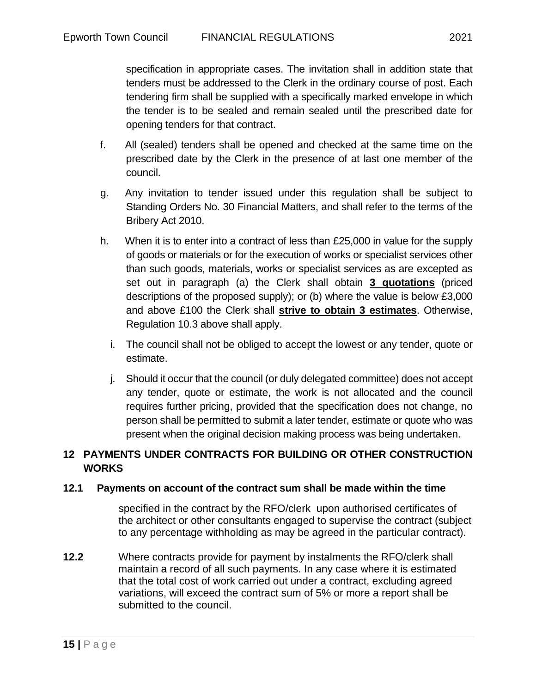specification in appropriate cases. The invitation shall in addition state that tenders must be addressed to the Clerk in the ordinary course of post. Each tendering firm shall be supplied with a specifically marked envelope in which the tender is to be sealed and remain sealed until the prescribed date for opening tenders for that contract.

- f. All (sealed) tenders shall be opened and checked at the same time on the prescribed date by the Clerk in the presence of at last one member of the council.
- g. Any invitation to tender issued under this regulation shall be subject to Standing Orders No. 30 Financial Matters, and shall refer to the terms of the Bribery Act 2010.
- h. When it is to enter into a contract of less than £25,000 in value for the supply of goods or materials or for the execution of works or specialist services other than such goods, materials, works or specialist services as are excepted as set out in paragraph (a) the Clerk shall obtain **3 quotations** (priced descriptions of the proposed supply); or (b) where the value is below £3,000 and above £100 the Clerk shall **strive to obtain 3 estimates**. Otherwise, Regulation 10.3 above shall apply.
	- i. The council shall not be obliged to accept the lowest or any tender, quote or estimate.
	- j. Should it occur that the council (or duly delegated committee) does not accept any tender, quote or estimate, the work is not allocated and the council requires further pricing, provided that the specification does not change, no person shall be permitted to submit a later tender, estimate or quote who was present when the original decision making process was being undertaken.

## **12 PAYMENTS UNDER CONTRACTS FOR BUILDING OR OTHER CONSTRUCTION WORKS**

## **12.1 Payments on account of the contract sum shall be made within the time**

 specified in the contract by the RFO/clerk upon authorised certificates of the architect or other consultants engaged to supervise the contract (subject to any percentage withholding as may be agreed in the particular contract).

**12.2** Where contracts provide for payment by instalments the RFO/clerk shall maintain a record of all such payments. In any case where it is estimated that the total cost of work carried out under a contract, excluding agreed variations, will exceed the contract sum of 5% or more a report shall be submitted to the council.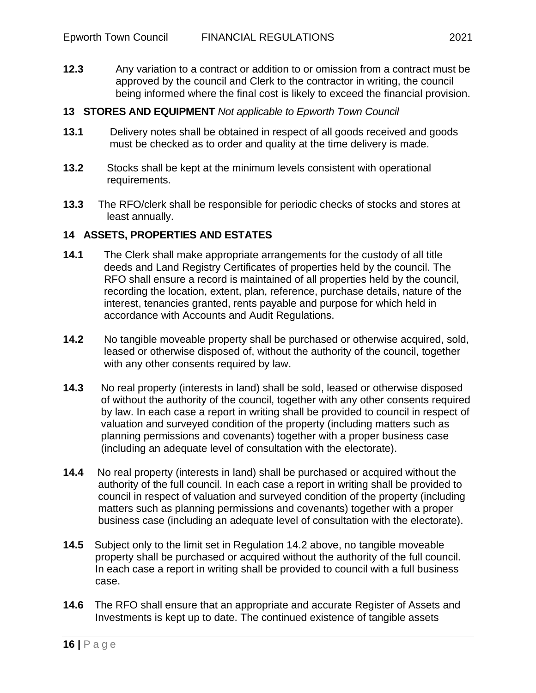**12.3** Any variation to a contract or addition to or omission from a contract must be approved by the council and Clerk to the contractor in writing, the council being informed where the final cost is likely to exceed the financial provision.

#### **13 STORES AND EQUIPMENT** *Not applicable to Epworth Town Council*

- **13.1** Delivery notes shall be obtained in respect of all goods received and goods must be checked as to order and quality at the time delivery is made.
- **13.2** Stocks shall be kept at the minimum levels consistent with operational requirements.
- **13.3** The RFO/clerk shall be responsible for periodic checks of stocks and stores at least annually.

#### **14 ASSETS, PROPERTIES AND ESTATES**

- **14.1** The Clerk shall make appropriate arrangements for the custody of all title deeds and Land Registry Certificates of properties held by the council. The RFO shall ensure a record is maintained of all properties held by the council, recording the location, extent, plan, reference, purchase details, nature of the interest, tenancies granted, rents payable and purpose for which held in accordance with Accounts and Audit Regulations.
- **14.2** No tangible moveable property shall be purchased or otherwise acquired, sold, leased or otherwise disposed of, without the authority of the council, together with any other consents required by law.
- **14.3** No real property (interests in land) shall be sold, leased or otherwise disposed of without the authority of the council, together with any other consents required by law. In each case a report in writing shall be provided to council in respect of valuation and surveyed condition of the property (including matters such as planning permissions and covenants) together with a proper business case (including an adequate level of consultation with the electorate).
- **14.4** No real property (interests in land) shall be purchased or acquired without the authority of the full council. In each case a report in writing shall be provided to council in respect of valuation and surveyed condition of the property (including matters such as planning permissions and covenants) together with a proper business case (including an adequate level of consultation with the electorate).
- **14.5** Subject only to the limit set in Regulation 14.2 above, no tangible moveable property shall be purchased or acquired without the authority of the full council. In each case a report in writing shall be provided to council with a full business case.
- **14.6** The RFO shall ensure that an appropriate and accurate Register of Assets and Investments is kept up to date. The continued existence of tangible assets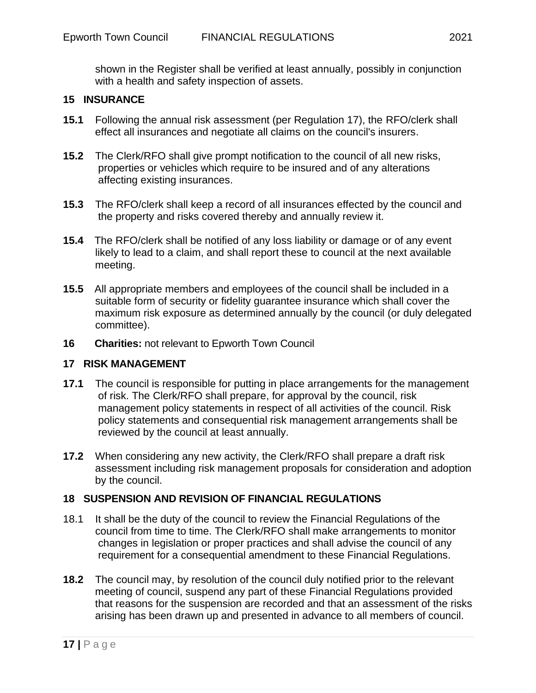shown in the Register shall be verified at least annually, possibly in conjunction with a health and safety inspection of assets.

#### **15 INSURANCE**

- **15.1** Following the annual risk assessment (per Regulation 17), the RFO/clerk shall effect all insurances and negotiate all claims on the council's insurers.
- **15.2** The Clerk/RFO shall give prompt notification to the council of all new risks, properties or vehicles which require to be insured and of any alterations affecting existing insurances.
- **15.3** The RFO/clerk shall keep a record of all insurances effected by the council and the property and risks covered thereby and annually review it.
- **15.4** The RFO/clerk shall be notified of any loss liability or damage or of any event likely to lead to a claim, and shall report these to council at the next available meeting.
- **15.5** All appropriate members and employees of the council shall be included in a suitable form of security or fidelity guarantee insurance which shall cover the maximum risk exposure as determined annually by the council (or duly delegated committee).
- **16 Charities:** not relevant to Epworth Town Council

#### **17 RISK MANAGEMENT**

- **17.1** The council is responsible for putting in place arrangements for the management of risk. The Clerk/RFO shall prepare, for approval by the council, risk management policy statements in respect of all activities of the council. Risk policy statements and consequential risk management arrangements shall be reviewed by the council at least annually.
- **17.2** When considering any new activity, the Clerk/RFO shall prepare a draft risk assessment including risk management proposals for consideration and adoption by the council.

#### **18 SUSPENSION AND REVISION OF FINANCIAL REGULATIONS**

- 18.1 It shall be the duty of the council to review the Financial Regulations of the council from time to time. The Clerk/RFO shall make arrangements to monitor changes in legislation or proper practices and shall advise the council of any requirement for a consequential amendment to these Financial Regulations.
- **18.2** The council may, by resolution of the council duly notified prior to the relevant meeting of council, suspend any part of these Financial Regulations provided that reasons for the suspension are recorded and that an assessment of the risks arising has been drawn up and presented in advance to all members of council.